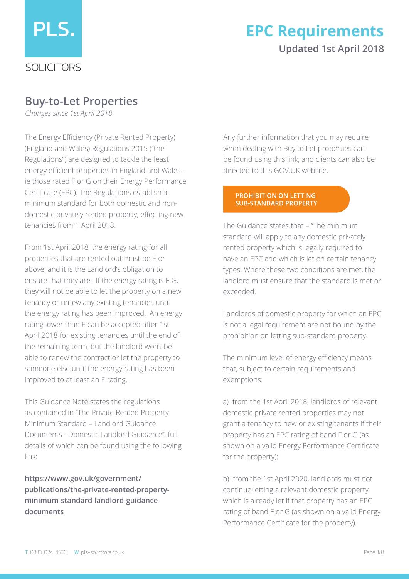

## **Updated 1st April 2018 EPC Requirements**

## **Buy-to-Let Properties**

*Changes since 1st April 2018*

The Energy Efficiency (Private Rented Property) (England and Wales) Regulations 2015 ("the Regulations") are designed to tackle the least energy efficient properties in England and Wales – ie those rated F or G on their Energy Performance Certificate (EPC). The Regulations establish a minimum standard for both domestic and nondomestic privately rented property, effecting new tenancies from 1 April 2018.

From 1st April 2018, the energy rating for all properties that are rented out must be E or above, and it is the Landlord's obligation to ensure that they are. If the energy rating is F-G, they will not be able to let the property on a new tenancy or renew any existing tenancies until the energy rating has been improved. An energy rating lower than E can be accepted after 1st April 2018 for existing tenancies until the end of the remaining term, but the landlord won't be able to renew the contract or let the property to someone else until the energy rating has been improved to at least an E rating.

This Guidance Note states the regulations as contained in "The Private Rented Property Minimum Standard – Landlord Guidance Documents - Domestic Landlord Guidance", full details of which can be found using the following link:

**https://www.gov.uk/government/ publications/the-private-rented-propertyminimum-standard-landlord-guidancedocuments**

Any further information that you may require when dealing with Buy to Let properties can be found using this link, and clients can also be directed to this GOV.UK website.

#### **PROHIBITION ON LETTING SUB-STANDARD PROPERTY**

The Guidance states that – "The minimum standard will apply to any domestic privately rented property which is legally required to have an EPC and which is let on certain tenancy types. Where these two conditions are met, the landlord must ensure that the standard is met or exceeded.

Landlords of domestic property for which an EPC is not a legal requirement are not bound by the prohibition on letting sub-standard property.

The minimum level of energy efficiency means that, subject to certain requirements and exemptions:

a) from the 1st April 2018, landlords of relevant domestic private rented properties may not grant a tenancy to new or existing tenants if their property has an EPC rating of band F or G (as shown on a valid Energy Performance Certificate for the property);

b) from the 1st April 2020, landlords must not continue letting a relevant domestic property which is already let if that property has an EPC rating of band F or G (as shown on a valid Energy Performance Certificate for the property).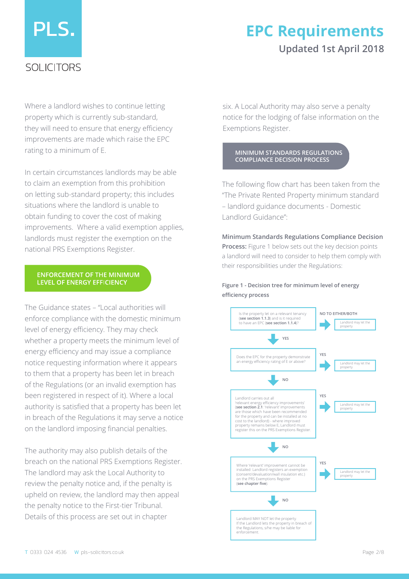# PLS.

## SOLICITORS

## **EPC Requirements Updated 1st April 2018**

Where a landlord wishes to continue letting property which is currently sub-standard, they will need to ensure that energy efficiency improvements are made which raise the EPC rating to a minimum of E.

In certain circumstances landlords may be able to claim an exemption from this prohibition on letting sub-standard property; this includes situations where the landlord is unable to obtain funding to cover the cost of making improvements. Where a valid exemption applies, landlords must register the exemption on the national PRS Exemptions Register.

#### **ENFORCEMENT OF THE MINIMUM LEVEL OF ENERGY EFFICIENCY**

The Guidance states – "Local authorities will enforce compliance with the domestic minimum level of energy efficiency. They may check whether a property meets the minimum level of energy efficiency and may issue a compliance notice requesting information where it appears to them that a property has been let in breach of the Regulations (or an invalid exemption has been registered in respect of it). Where a local authority is satisfied that a property has been let in breach of the Regulations it may serve a notice on the landlord imposing financial penalties.

The authority may also publish details of the breach on the national PRS Exemptions Register. The landlord may ask the Local Authority to review the penalty notice and, if the penalty is upheld on review, the landlord may then appeal the penalty notice to the First-tier Tribunal. Details of this process are set out in chapter

six. A Local Authority may also serve a penalty notice for the lodging of false information on the Exemptions Register.

#### **MINIMUM STANDARDS REGULATIONS COMPLIANCE DECISION PROCESS**

The following flow chart has been taken from the "The Private Rented Property minimum standard – landlord guidance documents - Domestic Landlord Guidance":

**Minimum Standards Regulations Compliance Decision Process:** Figure 1 below sets out the key decision points a landlord will need to consider to help them comply with their responsibilities under the Regulations:

**Figure 1 - Decision tree for minimum level of energy efficiency process**

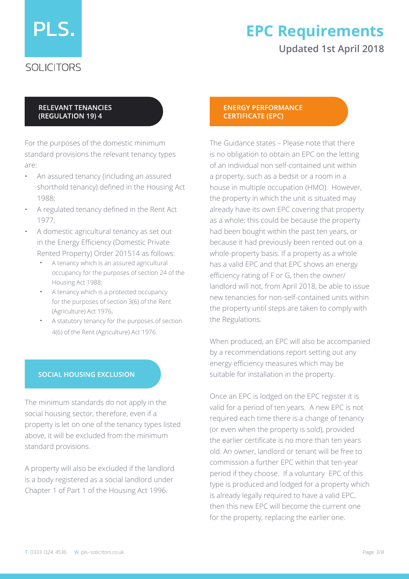

SOLICITORS

## **EPC Requirements Updated 1st April 2018**

## **RELEVANT TENANCIES** (REGULATION 19) 4

For the purposes of the domestic minimum standard provisions the relevant tenancy types are:

- An assured tenancy (including an assured shorthold tenancy) defined in the Housing Act 1988;
- A regulated tenancy defined in the Rent Act 1977;
- A domestic agricultural tenancy as set out in the Energy Efficiency (Domestic Private Rented Property) Order 201514 as follows:
	- A tenancy which is an assured agricultural occupancy for the purposes of section 24 of the Housing Act 1988;
	- A tenancy which is a protected occupancy for the purposes of section 3(6) of the Rent (Agriculture) Act 1976;
	- A statutory tenancy for the purposes of section 4(6) of the Rent (Agriculture) Act 1976.

## **SOCIAL HOUSING EXCLUSION**

The minimum standards do not apply in the social housing sector, therefore, even if a property is let on one of the tenancy types listed above, it will be excluded from the minimum standard provisions.

A property will also be excluded if the landlord is a body registered as a social landlord under Chapter 1 of Part 1 of the Housing Act 1996.

#### **ENERGY PERFORMANCE CERTIFICATE (EPC)**

The Guidance states – Please note that there is no obligation to obtain an EPC on the letting of an individual non self-contained unit within a property, such as a bedsit or a room in a house in multiple occupation (HMO). However, the property in which the unit is situated may already have its own EPC covering that property as a whole; this could be because the property had been bought within the past ten years, or because it had previously been rented out on a whole-property basis. If a property as a whole has a valid EPC and that EPC shows an energy efficiency rating of F or G, then the owner/ landlord will not, from April 2018, be able to issue new tenancies for non-self-contained units within the property until steps are taken to comply with the Regulations.

When produced, an EPC will also be accompanied by a recommendations report setting out any energy efficiency measures which may be suitable for installation in the property.

Once an EPC is lodged on the EPC register it is valid for a period of ten years. A new EPC is not required each time there is a change of tenancy (or even when the property is sold), provided the earlier certificate is no more than ten years old. An owner, landlord or tenant will be free to commission a further EPC within that ten-year period if they choose. If a voluntary EPC of this type is produced and lodged for a property which is already legally required to have a valid EPC, then this new EPC will become the current one for the property, replacing the earlier one.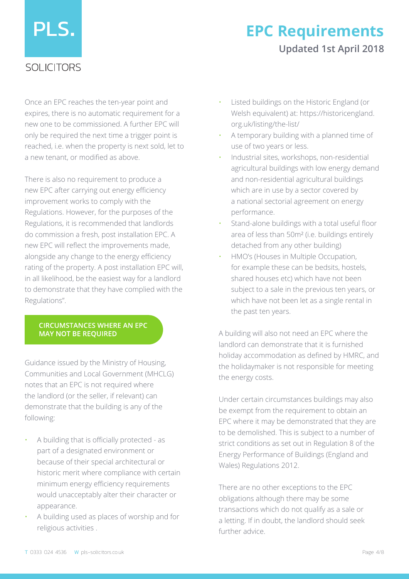# PLS.

## **EPC Requirements Updated 1st April 2018**

## SOLICITORS

Once an EPC reaches the ten-year point and expires, there is no automatic requirement for a new one to be commissioned. A further EPC will only be required the next time a trigger point is reached, i.e. when the property is next sold, let to a new tenant, or modified as above.

There is also no requirement to produce a new EPC after carrying out energy efficiency improvement works to comply with the Regulations. However, for the purposes of the Regulations, it is recommended that landlords do commission a fresh, post installation EPC. A new EPC will reflect the improvements made, alongside any change to the energy efficiency rating of the property. A post installation EPC will, in all likelihood, be the easiest way for a landlord to demonstrate that they have complied with the Regulations".

#### **CIRCUMSTANCES WHERE AN EPC MAY NOT BE REQUIRED**

Guidance issued by the Ministry of Housing, Communities and Local Government (MHCLG) notes that an EPC is not required where the landlord (or the seller, if relevant) can demonstrate that the building is any of the following:

- A building that is officially protected as part of a designated environment or because of their special architectural or historic merit where compliance with certain minimum energy efficiency requirements would unacceptably alter their character or appearance.
- A building used as places of worship and for religious activities .
- Listed buildings on the Historic England (or Welsh equivalent) at: https://historicengland. org.uk/listing/the-list/
- A temporary building with a planned time of use of two years or less.
- Industrial sites, workshops, non-residential agricultural buildings with low energy demand and non-residential agricultural buildings which are in use by a sector covered by a national sectorial agreement on energy performance.
- Stand-alone buildings with a total useful floor area of less than 50m² (i.e. buildings entirely detached from any other building)
- HMO's (Houses in Multiple Occupation, for example these can be bedsits, hostels, shared houses etc) which have not been subject to a sale in the previous ten years, or which have not been let as a single rental in the past ten years.

A building will also not need an EPC where the landlord can demonstrate that it is furnished holiday accommodation as defined by HMRC, and the holidaymaker is not responsible for meeting the energy costs.

Under certain circumstances buildings may also be exempt from the requirement to obtain an EPC where it may be demonstrated that they are to be demolished. This is subject to a number of strict conditions as set out in Regulation 8 of the Energy Performance of Buildings (England and Wales) Regulations 2012.

There are no other exceptions to the EPC obligations although there may be some transactions which do not qualify as a sale or a letting. If in doubt, the landlord should seek further advice.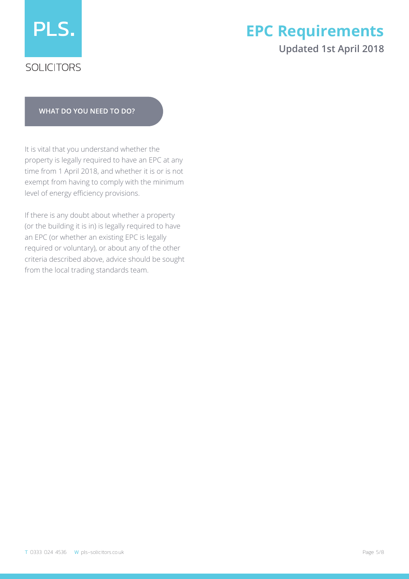

## **SOLICITORS**

# **EPC Requirements**

## **Updated 1st April 2018**

#### **WHAT DO YOU NEED TO DO?**

It is vital that you understand whether the property is legally required to have an EPC at any time from 1 April 2018, and whether it is or is not exempt from having to comply with the minimum level of energy efficiency provisions.

If there is any doubt about whether a property (or the building it is in) is legally required to have an EPC (or whether an existing EPC is legally required or voluntary), or about any of the other criteria described above, advice should be sought from the local trading standards team.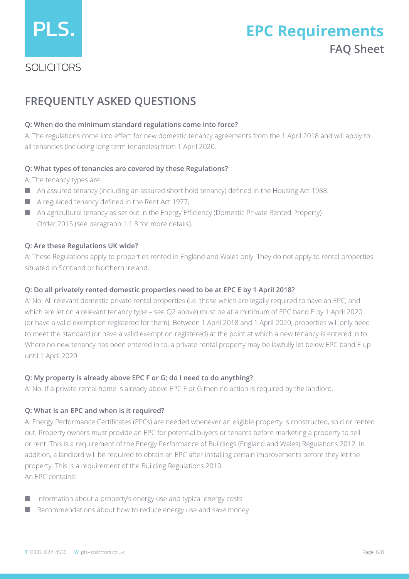

## **EPC Requirements FAQ Sheet**

## SOLICITORS

## **FREQUENTLY ASKED QUESTIONS**

## **Q: When do the minimum standard regulations come into force?**

A: The regulations come into effect for new domestic tenancy agreements from the 1 April 2018 and will apply to all tenancies (including long term tenancies) from 1 April 2020.

## **Q: What types of tenancies are covered by these Regulations?**

A: The tenancy types are:

- An assured tenancy (including an assured short hold tenancy) defined in the Housing Act 1988.
- A regulated tenancy defined in the Rent Act 1977;
- An agricultural tenancy as set out in the Energy Efficiency (Domestic Private Rented Property) Order 2015 (see paragraph 1.1.3 for more details).

## **Q: Are these Regulations UK wide?**

A: These Regulations apply to properties rented in England and Wales only. They do not apply to rental properties situated in Scotland or Northern Ireland.

## **Q: Do all privately rented domestic properties need to be at EPC E by 1 April 2018?**

A: No. All relevant domestic private rental properties (i.e. those which are legally required to have an EPC, and which are let on a relevant tenancy type – see Q2 above) must be at a minimum of EPC band E by 1 April 2020 (or have a valid exemption registered for them). Between 1 April 2018 and 1 April 2020, properties will only need to meet the standard (or have a valid exemption registered) at the point at which a new tenancy is entered in to. Where no new tenancy has been entered in to, a private rental property may be lawfully let below EPC band E up until 1 April 2020.

## **Q: My property is already above EPC F or G; do I need to do anything?**

A: No. If a private rental home is already above EPC F or G then no action is required by the landlord.

## **Q: What is an EPC and when is it required?**

A: Energy Performance Certificates (EPCs) are needed whenever an eligible property is constructed, sold or rented out. Property owners must provide an EPC for potential buyers or tenants before marketing a property to sell or rent. This is a requirement of the Energy Performance of Buildings (England and Wales) Regulations 2012. In addition, a landlord will be required to obtain an EPC after installing certain improvements before they let the property. This is a requirement of the Building Regulations 2010. An EPC contains:

- Information about a property's energy use and typical energy costs
- Recommendations about how to reduce energy use and save money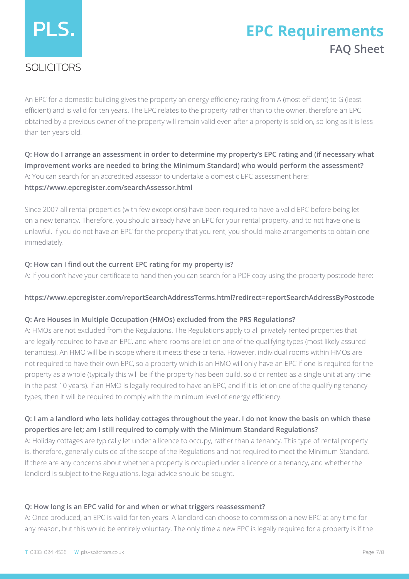# PLS.

# **EPC Requirements FAQ Sheet**

## SOLICITORS

An EPC for a domestic building gives the property an energy efficiency rating from A (most efficient) to G (least efficient) and is valid for ten years. The EPC relates to the property rather than to the owner, therefore an EPC obtained by a previous owner of the property will remain valid even after a property is sold on, so long as it is less than ten years old.

**Q: How do I arrange an assessment in order to determine my property's EPC rating and (if necessary what improvement works are needed to bring the Minimum Standard) who would perform the assessment?** A: You can search for an accredited assessor to undertake a domestic EPC assessment here: **https://www.epcregister.com/searchAssessor.html**

Since 2007 all rental properties (with few exceptions) have been required to have a valid EPC before being let on a new tenancy. Therefore, you should already have an EPC for your rental property, and to not have one is unlawful. If you do not have an EPC for the property that you rent, you should make arrangements to obtain one immediately.

## **Q: How can I find out the current EPC rating for my property is?**

A: If you don't have your certificate to hand then you can search for a PDF copy using the property postcode here:

## **https://www.epcregister.com/reportSearchAddressTerms.html?redirect=reportSearchAddressByPostcode**

## **Q: Are Houses in Multiple Occupation (HMOs) excluded from the PRS Regulations?**

A: HMOs are not excluded from the Regulations. The Regulations apply to all privately rented properties that are legally required to have an EPC, and where rooms are let on one of the qualifying types (most likely assured tenancies). An HMO will be in scope where it meets these criteria. However, individual rooms within HMOs are not required to have their own EPC, so a property which is an HMO will only have an EPC if one is required for the property as a whole (typically this will be if the property has been build, sold or rented as a single unit at any time in the past 10 years). If an HMO is legally required to have an EPC, and if it is let on one of the qualifying tenancy types, then it will be required to comply with the minimum level of energy efficiency.

## **Q: I am a landlord who lets holiday cottages throughout the year. I do not know the basis on which these properties are let; am I still required to comply with the Minimum Standard Regulations?**

A: Holiday cottages are typically let under a licence to occupy, rather than a tenancy. This type of rental property is, therefore, generally outside of the scope of the Regulations and not required to meet the Minimum Standard. If there are any concerns about whether a property is occupied under a licence or a tenancy, and whether the landlord is subject to the Regulations, legal advice should be sought.

## **Q: How long is an EPC valid for and when or what triggers reassessment?**

A: Once produced, an EPC is valid for ten years. A landlord can choose to commission a new EPC at any time for any reason, but this would be entirely voluntary. The only time a new EPC is legally required for a property is if the